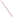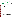## **THE ENVIRONMENTAL TECHNOLOGY VERIFICATION**







# **ETV Joint Verification Statement**

| <b>TECHNOLOGY TYPE: Arsenic Test Kit</b> |                                                 |             |                                           |
|------------------------------------------|-------------------------------------------------|-------------|-------------------------------------------|
| <b>APPLICATION:</b>                      | <b>ANALYSIS OF ARSENIC IN WATER</b>             |             |                                           |
| <b>TECHNOLOGY NAME: AS 75</b>            |                                                 |             |                                           |
| <b>COMPANY:</b>                          | <b>Peters Engineering</b>                       |             |                                           |
| <b>ADDRESS:</b>                          | <b>Steyregasse 78010 Graz</b><br><b>Austria</b> | <b>FAX:</b> | PHONE: 43(0)316 840792<br>43(0)316 840792 |
| <b>WEB SITE:</b>                         |                                                 |             |                                           |
| $E\text{-}{M}\text{A}IL:$                | peters.engineering@styria.com                   |             |                                           |

The U.S. Environmental Protection Agency (EPA) has created the Environmental Technology Verification (ETV) Program to facilitate the deployment of innovative or improved environmental technologies through performance verification and dissemination of information. The goal of the ETV Program is to further environmental protection by substantially accelerating the acceptance and use of improved and cost-effective technologies. ETV seeks to achieve this goal by providing high-quality, peer-reviewed data on technology performance to those involved in the design, distribution, financing, permitting, purchase, and use of environmental technologies.

ETV works in partnership with recognized standards and testing organizations; with stakeholder groups that consist of buyers, vendor organizations, and permitters; and with the full participation of individual technology developers. The program evaluates the performance of innovative technologies by developing test plans that are responsive to the needs of stakeholders, conducting field or laboratory tests (as appropriate), collecting and analyzing data, and preparing peer-reviewed reports. All evaluations are conducted in accordance with rigorous quality assurance (QA) protocols to ensure that data of known and adequate quality are generated and that the results are defensible.

The Advanced Monitoring Systems (AMS) Center, one of six technology areas under ETV, is operated by Battelle in cooperation with EPA's National Exposure Research Laboratory. The AMS Center has recently evaluated the performance of four portable analyzers for arsenic in water. This verification statement provides a summary of the test results for the Peters Engineering AS 75 arsenic test kit.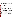### **VERIFICATION TEST DESCRIPTION**

The AS 75 test kit is an inexpensive, portable, rapid device designed for on-site analysis of arsenic in water. The AS 75 test kit was verified in terms of its performance on the following parameters: accuracy, precision, linearity, method detection limit (MDL), matrix interference effects, operator bias, and rate of false positives/false negatives. All preparation, calibration, and analyses were performed according to the manufacturer's recommended procedures. Results from the AS 75 test kit were compared to those from a reference method to quantitatively assess accuracy, linearity, and detection limit. Multiple aliquots of performance test samples and drinking water samples were analyzed to assess precision. Identical sets of samples were analyzed independently by two separate operators (a technical and a non-technical Battelle staff member) to test for operator bias. Matrix interference effects were assessed by challenging the test kit with performance test samples of known arsenic concentrations containing both low-level and high-level interferences. False positives and negatives were evaluated relative to the recently established 10 ppb maximum contaminant level for arsenic in drinking water. In addition to the analytical results, the time required for sample analysis and operator observations concerning the use of the test kit (e.g., frequency of calibration, ease of use, maintenance) were recorded.

Three types of samples were used in the verification test: quality control (QC) samples, performance test (PT) samples, and environmental water samples. The QC and PT samples were prepared from National Institute of Standards and Technology traceable purchased standards. The environmental water samples were collected from various drinking water and surface water sources. All samples were analyzed using the AS 75 test kits and by a laboratory reference method. Every tenth sample was analyzed twice by the reference method to document the reference method's precision.

QA oversight of verification testing was provided by Battelle. Battelle QA staff conducted a data quality audit of 10% of the test data, a performance evaluation audit, and a technical systems audit of the procedures used in this verification.

#### **TECHNOLOGY DESCRIPTION**

The AS 75 consists of the PeCo test kit, which measures the color change of a filter by visual comparison to a color chart, and an AS 75 tester, which measures the color change of the filter electronically. The AS 75 includes a 100-mL reaction bottle (Erlenmeyer flask), two filter holders (grey and blue), a 50-mL volumetric cylinder, a 10- and a 1-mL pipette, tweezers, gloves, two color charts, filters, cotton, and chemicals and reagents (in tablet form) for 20 tests. The AS 75 can be used for 50-, 10-, 5-, or 1-mL samples; in this test all samples were 50 mL. The AS 75 tester is a hand-held, battery-powered electronic device recommended for determining low concentrations of arsenic in the field. To measure arsenic with the test kit, the Erlenmeyer flask is filled with the sample. The filter is placed into the test filter holder, reagent tablets are dropped in the sample, and the filter holder is placed on the flask. The filter is exposed to arsine gas evolved from the sample solution, resulting in a color change in the filter. When the reaction is complete, the filter is compared visually with the color charts provided with the PeCo test kit, or read by the AS 75 tester, to determine the amount of arsenic in the sample. The PeCo test kit color chart shows discrete color spots corresponding to arsenic concentrations of 10, 20, 30, . . .100 parts per billion (ppb) for the grey filter holder and  $2.5, 5, 10, 20, \ldots$  60 ppb for the blue filter holder. In a few cases, the operators interpolated between PeCo color readings to estimate the arsenic concentration. The AS75 tester has a display resolution of 1 ppb and can provide arsenic readings below 10 ppb. The battery-operated AS 75 tester provides power for 260 hours under normal conditions, allowing for up to 1,200 measurements. The tester (with the nine-volt battery) weighs 160 g (5.6 oz), and its dimensions are 120 mm by 60 mm by 26 mm (4.7 in by 2.4 in by 1 in).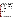#### **VERIFICATION OF PERFORMANCE**

The AS 75 arsenic test kit measures arsenic in water visually using the PeCo test kit, or electronically using the AS 75 tester. Both approaches were tested in this verification.

**Accuracy:** Considering results from both technical and non-technical operators, the PeCo test kit gave accuracy (in terms of bias relative to reference results) of 2 to 9%, 6 to 8%, and 2 to 17% for samples near 10 ppb arsenic in the PT, drinking water, and freshwater (FW) sample sets, respectively. At higher arsenic concentrations (23.5 to 92.6 ppb), the PeCo test kit gave biases of 1 to 113% and 21 to 77% for samples in the PT and drinking water sets, respectively. For the AS 75 tester, corresponding biases were 2 to 52%, 1 to 157%, and 6 to 33% for samples near 10 ppb in the PT, drinking water, and FW sets, respectively. At higher concentrations, the AS 75 tester showed biases of 6 to more than 310% and 8 to 50% for samples in the PT and drinking water sets, respectively.

An additional criterion for accuracy was the percentage of AS 75 results that were within 25% of the corresponding reference result or within a corresponding "less than" range. By this criterion, the qualitative accuracy of the PeCo test kit for the PT samples was 86% for the non-technical operator and 83% for the technical operator; for the drinking water samples it was 67% for the non-technical operator and 52% for the technical operator; and for the FW samples it was 96% for the non-technical operator and 92% for the technical operator. The qualitative accuracy of the AS 75 tester for the PT samples was 57% for the non-technical operator and 59% for the technical operator; for the drinking water samples it was 62% for the non-technical operator and 57% for the technical operator; and for the FW samples it was 75% for the non-technical and 88% for the technical operator.

**Precision:** With the PeCo test kit, the relative standard deviation (RSD) ranged from 0 to 40% for the nontechnical operator and 0 to 24% for the technical operator in replicate analyses of the PT samples. The corresponding RSD for the drinking water samples was 27 to 41% for the non-technical operator, and was 0% for the technical operator. With the AS 75 tester, the RSD ranged from 11 to 38% for the non-technical operator and 12 to more than 71% for the technical operator on the PT samples. The RSD for the drinking water samples was 10 to 39% for the non-technical operator and 10 to 89% for the technical operator.

**Linearity:** The linearity of response of the AS 75 relative to the reference results was assessed using the PT samples containing from 1 to 93 ppb arsenic. The linear regression with the PeCo test kit for the non-technical operator was ppb =  $0.99 \ (\pm 0.090)$  x (reference, ppb) + 2.41 ( $\pm 3.55$ ) ppb, with r = 0.977. With the PeCo test kit for the technical operator, it was ppb =  $0.80$  ( $\pm 0.069$ ) x (reference, ppb) +  $5.12$  ( $\pm 2.70$ ) ppb, with r = 0.979. The linear regression with the AS 75 tester for the non-technical operator was  $ppb = 1.27 (\pm 0.074)$  x (reference, ppb) + 2.25  $(\pm 2.93)$  ppb, with r = 0.990. With the AS 75 tester for the technical operator, it was ppb = 1.28  $(\pm 0.22)$  x (reference, ppb) + 5.70 ( $\pm$ 8.69) ppb, with r = 0.923.

**Method detection limit:** A total of seven replicate PT samples were analyzed at a concentration of 25 ppb. With the PeCo test kit, the results from both operators were somewhat erratic. The non-technical operator reported arsenic between 15 and 50 ppb, and the technical operator reported arsenic between 20 and 40 ppb. No MDL was calculated for the PeCo kit, since it is a semi-quantitative test kit. For the AS 75 tester, the calculated MDL for the non-technical operator was 32.7 ppb, and for the technical operator was 28 ppb.

**Matrix interference effects:** The AS 75 results did not show a significant effect of sample matrices containing low or high levels of sodium chloride, iron, sulfate, or acidity using either the PeCo test kit or the AS 75 tester.

**Operator bias:** Operator technical training level had no major effect on the AS 75 results, with either the PeCo kit or the AS75 tester.

**Rate of false positives/false negatives:** The rates of false positives and false negatives of the AS 75 were assessed relative to the reference method using 10 ppb of arsenic as the decision level. The rate of false positives for the PeCo test kit was 0% for the non-technical and 3% for the technical operators. For the AS 75 tester, the false positive rate was 2% for the non-technical operator and 13% for the technical operator relative to the 10-ppb